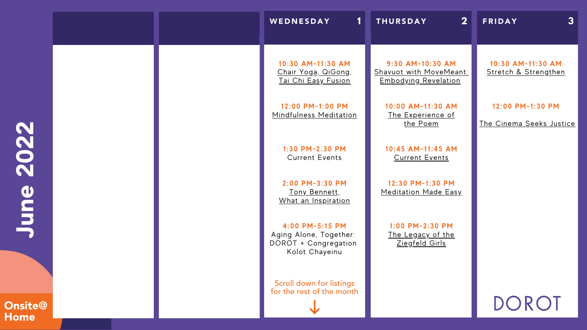

# **Onsite@** Home

Scroll down for listings for the rest of the month

**2:00 PM-3:30 PM** Tony [Bennett,](https://dorotusa-org.zoom.us/meeting/register/tZMpd-qqrD0pE9SYUtG71kdWuFAQNmqeM2ZU) What an [Inspiration](https://dorotusa-org.zoom.us/meeting/register/tZMpd-qqrD0pE9SYUtG71kdWuFAQNmqeM2ZU)

### **10:30 AM-11:30 AM** Stretch & [Strengthen](https://zoom.us/meeting/register/tJMlduitrjgvHNaLT5OtBULlmv8ifpH6NLOk)

### **12:00 PM-1:30 PM**

The [Cinema](https://dorotusa-org.zoom.us/meeting/register/tZIsd--qqz0jE9ObCtUy_lYlY4ynMeNn4VeC) Seeks Justice

# DOROT

**10:30 AM-11:30 AM** Chair Yoga, [QiGong](https://zoom.us/meeting/register/tJwtfu2sqDgjHtDWzsND2UsJ5bLbkRdHqHr_), Tai Chi Easy [Fusion](https://zoom.us/meeting/register/tJwtfu2sqDgjHtDWzsND2UsJ5bLbkRdHqHr_)

**12:00 PM-1:00 PM** [Mindfulness](https://zoom.us/meeting/register/tJwqcOmgqjstHdIah7pQpVCOIHalSr57JwCI) [Meditation](https://zoom.us/meeting/register/tJwqcOmgqjstHdIah7pQpVCOIHalSr57JwCI)

> **1:30 PM-2:30 PM** Current Events

**4:00 PM-5:15 PM** Aging Alone, Together: DOROT + Congregation Kolot Chayeinu

**9:30 AM-10:30 AM** Shavuot with [MoveMeant:](https://dorotusa-org.zoom.us/meeting/register/tZEld-uhqTwqH9QhjSyulgXkCFxxmMgDHlPC) [Embodying](https://dorotusa-org.zoom.us/meeting/register/tZEld-uhqTwqH9QhjSyulgXkCFxxmMgDHlPC) Revelation

> **10:00 AM-11:30 AM** The [Experience](https://dorotusa-org.zoom.us/meeting/register/tJEqf--urDMpGtMKJToFd1X-m0y2zzAMh2nX) of the [Poem](https://dorotusa-org.zoom.us/meeting/register/tJEqf--urDMpGtMKJToFd1X-m0y2zzAMh2nX)

> **10:45 AM-11:45 AM** [Current](https://dorotusa-org.zoom.us/meeting/register/tJYvdO6przopHNPD4PaH9Mnr0UJNGLi3i5Mf) Events

**12:30 PM-1:30 PM** [Meditation](https://dorotusa-org.zoom.us/meeting/register/tZMvd-qgqDIsGNyMPijKDSeMz1cQhLg0E-8O) Made Easy

**1:00 PM-2:30 PM** The [Legacy](https://dorotusa-org.zoom.us/meeting/register/tZwrd--gqTwsHtFtAT2mWsK_8iRiScRCYDsf) of the [Ziegfeld](https://dorotusa-org.zoom.us/meeting/register/tZwrd--gqTwsHtFtAT2mWsK_8iRiScRCYDsf) Girls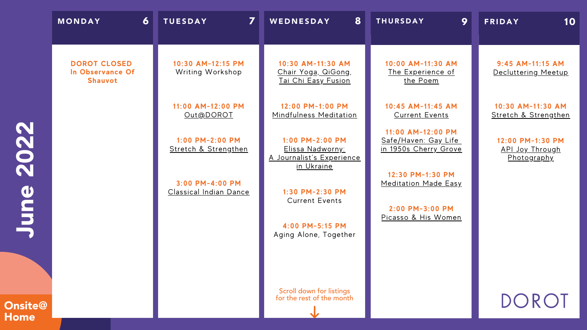Onsite@ Home

DOROT

| $\overline{6}$<br>MONDAY                           | 7<br><b>TUESDAY</b>                              | 8<br>WEDNESDAY                                                                   | 9<br><b>THURSDAY</b>                                               | 10<br><b>FRIDAY</b>                                       |
|----------------------------------------------------|--------------------------------------------------|----------------------------------------------------------------------------------|--------------------------------------------------------------------|-----------------------------------------------------------|
| <b>DOROT CLOSED</b><br>In Observance Of<br>Shauvot | 10:30 AM-12:15 PM<br><b>Writing Workshop</b>     | 10:30 AM-11:30 AM<br><u>Chair Yoga, QiGong,</u><br>Tai Chi Easy Fusion           | 10:00 AM-11:30 AM<br><u>The Experience of</u><br>the Poem          | $9:45$ AM-11:15 AM<br>Decluttering Meetup                 |
|                                                    | 11:00 AM-12:00 PM<br>Out@DOROT                   | 12:00 PM-1:00 PM<br>Mindfulness Meditation                                       | 10:45 AM-11:45 AM<br><b>Current Events</b>                         | 10:30 AM-11:30 AM<br>Stretch & Strengthen                 |
|                                                    | $1:00$ PM-2:00 PM<br>Stretch & Strengthen        | $1:00$ PM-2:00 PM<br>Elissa Nadworny:<br>A Journalist's Experience<br>in Ukraine | 11:00 AM-12:00 PM<br>Safe/Haven: Gay Life<br>in 1950s Cherry Grove | 12:00 PM-1:30 PM<br><u>API Joy Through</u><br>Photography |
|                                                    | 3:00 PM-4:00 PM<br><b>Classical Indian Dance</b> | 1:30 PM-2:30 PM<br><b>Current Events</b>                                         | 12:30 PM-1:30 PM<br><b>Meditation Made Easy</b><br>2:00 PM-3:00 PM |                                                           |
|                                                    |                                                  | 4:00 PM-5:15 PM<br>Aging Alone, Together                                         | Picasso & His Women                                                |                                                           |
|                                                    |                                                  |                                                                                  |                                                                    |                                                           |
|                                                    |                                                  | Scroll down for listings<br>for the rest of the month                            |                                                                    | $\sqrt{R}$                                                |

**J** und) 2 02 2

### **10:30 AM-11:30 AM** Stretch & [Strengthen](https://zoom.us/meeting/register/tJMlduitrjgvHNaLT5OtBULlmv8ifpH6NLOk)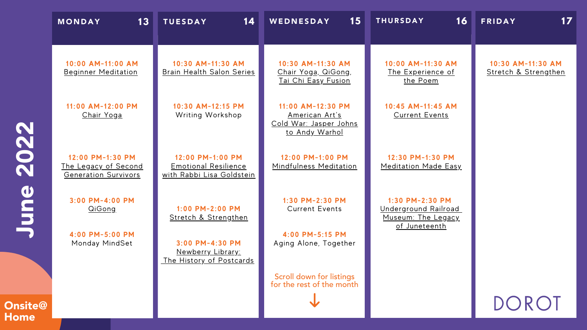**Onsite** Home

|                         | 13<br><b>MONDAY</b>                                                            | 14<br><b>TUESDAY</b>                                                                     | 15<br>WEDNESDAY                                                                               | 16<br><b>THURSDAY</b>                                                                 | 17<br><b>FRIDAY</b>                       |
|-------------------------|--------------------------------------------------------------------------------|------------------------------------------------------------------------------------------|-----------------------------------------------------------------------------------------------|---------------------------------------------------------------------------------------|-------------------------------------------|
|                         | 10:00 AM-11:00 AM<br><b>Beginner Meditation</b>                                | 10:30 AM-11:30 AM<br><b>Brain Health Salon Series</b>                                    | 10:30 AM-11:30 AM<br><u>Chair Yoga, QiGong,</u><br><u>Tai Chi Easy Fusion</u>                 | 10:00 AM-11:30 AM<br><u>The Experience of</u><br>the Poem                             | 10:30 AM-11:30 AM<br>Stretch & Strengthen |
|                         | 11:00 AM-12:00 PM<br><b>Chair Yoga</b>                                         | 10:30 AM-12:15 PM<br>Writing Workshop                                                    | 11:00 AM-12:30 PM<br><u>American Art's</u><br>Cold War: Jasper Johns<br><u>to Andy Warhol</u> | 10:45 AM-11:45 AM<br><b>Current Events</b>                                            |                                           |
|                         | 12:00 PM-1:30 PM<br><u>The Legacy of Second</u><br><b>Generation Survivors</b> | 12:00 PM-1:00 PM<br><b>Emotional Resilience</b><br>with Rabbi Lisa Goldstein             | 12:00 PM-1:00 PM<br>Mindfulness Meditation                                                    | 12:30 PM-1:30 PM<br><b>Meditation Made Easy</b>                                       |                                           |
|                         | 3:00 PM-4:00 PM<br>QiGong<br>4:00 PM-5:00 PM<br>Monday MindSet                 | $1:00$ PM-2:00 PM<br>Stretch & Strengthen<br>3:00 PM-4:30 PM<br><u>Newberry Library:</u> | 1:30 PM-2:30 PM<br><b>Current Events</b><br>4:00 PM-5:15 PM<br>Aging Alone, Together          | 1:30 PM-2:30 PM<br><u>Underground Railroad</u><br>Museum: The Legacy<br>of Juneteenth |                                           |
| $\widehat{\bm{\omega}}$ |                                                                                | The History of Postcards                                                                 | Scroll down for listings<br>for the rest of the month                                         |                                                                                       | DOROT                                     |

**J** und) 2 02 2

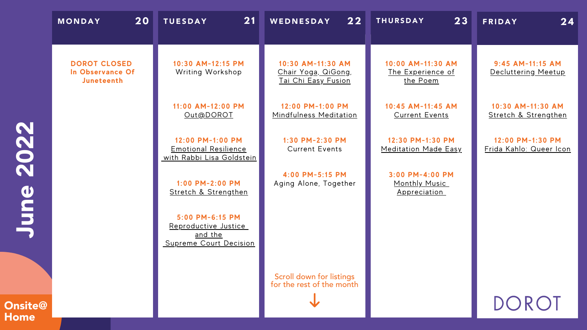|                | 20<br><b>MONDAY</b>                                          | 21<br><b>TUESDAY</b>                                                         | 22<br>WEDNESDAY                                                        | 23<br><b>THURSDAY</b>                                          | 24<br><b>FRIDAY</b>                         |
|----------------|--------------------------------------------------------------|------------------------------------------------------------------------------|------------------------------------------------------------------------|----------------------------------------------------------------|---------------------------------------------|
|                | <b>DOROT CLOSED</b><br>In Observance Of<br><b>Juneteenth</b> | 10:30 AM-12:15 PM<br><b>Writing Workshop</b>                                 | 10:30 AM-11:30 AM<br>Chair Yoga, QiGong,<br><u>Tai Chi Easy Fusion</u> | 10:00 AM-11:30 AM<br><u>The Experience of</u><br>the Poem      | 9:45 AM-11:15 AM<br>Decluttering Meetup     |
|                |                                                              | 11:00 AM-12:00 PM<br>Out@DOROT                                               | 12:00 PM-1:00 PM<br>Mindfulness Meditation                             | 10:45 AM-11:45 AM<br><b>Current Events</b>                     | 10:30 AM-11:30 AM<br>Stretch & Strengthen   |
| 022            |                                                              | 12:00 PM-1:00 PM<br><b>Emotional Resilience</b><br>with Rabbi Lisa Goldstein | 1:30 PM-2:30 PM<br><b>Current Events</b>                               | 12:30 PM-1:30 PM<br><b>Meditation Made Easy</b>                | 12:00 PM-1:30 PM<br>Frida Kahlo: Queer Icon |
| N<br>d)        |                                                              | 1:00 PM-2:00 PM<br>Stretch & Strengthen                                      | 4:00 PM-5:15 PM<br>Aging Alone, Together                               | 3:00 PM-4:00 PM<br><b>Monthly Music</b><br><u>Appreciation</u> |                                             |
| E              |                                                              | 5:00 PM-6:15 PM<br>Reproductive Justice<br>and the<br>Supreme Court Decision |                                                                        |                                                                |                                             |
|                |                                                              |                                                                              | Scroll down for listings<br>for the rest of the month                  |                                                                |                                             |
| <b>Onsite@</b> |                                                              |                                                                              |                                                                        |                                                                | DOROT                                       |

**Home** 

### **10:30 AM-11:30 AM** Stretch & [Strengthen](https://zoom.us/meeting/register/tJMlduitrjgvHNaLT5OtBULlmv8ifpH6NLOk)

### **12:00 PM-1:30 PM** Frida Kahlo: [Queer](https://dorotusa-org.zoom.us/meeting/register/tZMscu2qrzkrGtASU-tvlc5sT7nZRz23jDOQ) Icon

DOROT